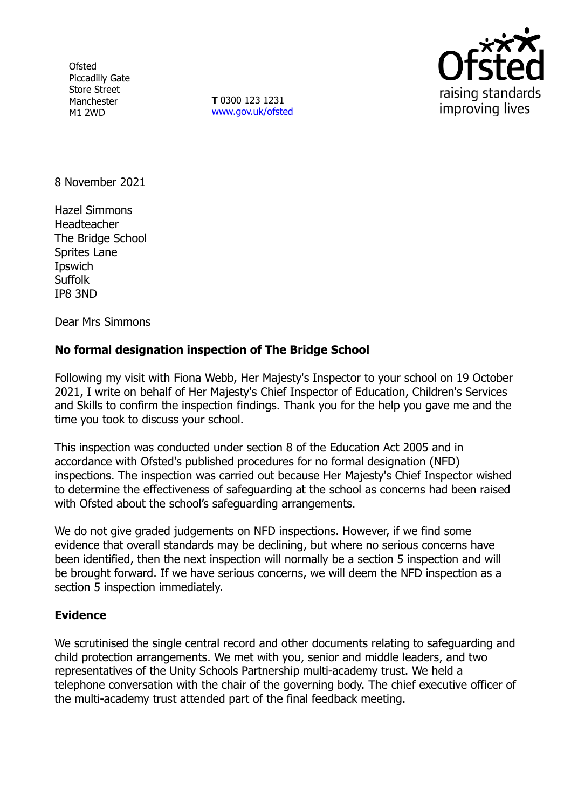**Ofsted** Piccadilly Gate Store Street Manchester M1 2WD

**T** 0300 123 1231 [www.gov.uk/ofsted](http://www.gov.uk/ofsted)



8 November 2021

Hazel Simmons Headteacher The Bridge School Sprites Lane **I**pswich **Suffolk** IP8 3ND

Dear Mrs Simmons

# **No formal designation inspection of The Bridge School**

Following my visit with Fiona Webb, Her Majesty's Inspector to your school on 19 October 2021, I write on behalf of Her Majesty's Chief Inspector of Education, Children's Services and Skills to confirm the inspection findings. Thank you for the help you gave me and the time you took to discuss your school.

This inspection was conducted under section 8 of the Education Act 2005 and in accordance with Ofsted's published procedures for no formal designation (NFD) inspections. The inspection was carried out because Her Majesty's Chief Inspector wished to determine the effectiveness of safeguarding at the school as concerns had been raised with Ofsted about the school's safeguarding arrangements.

We do not give graded judgements on NFD inspections. However, if we find some evidence that overall standards may be declining, but where no serious concerns have been identified, then the next inspection will normally be a section 5 inspection and will be brought forward. If we have serious concerns, we will deem the NFD inspection as a section 5 inspection immediately.

#### **Evidence**

We scrutinised the single central record and other documents relating to safeguarding and child protection arrangements. We met with you, senior and middle leaders, and two representatives of the Unity Schools Partnership multi-academy trust. We held a telephone conversation with the chair of the governing body. The chief executive officer of the multi-academy trust attended part of the final feedback meeting.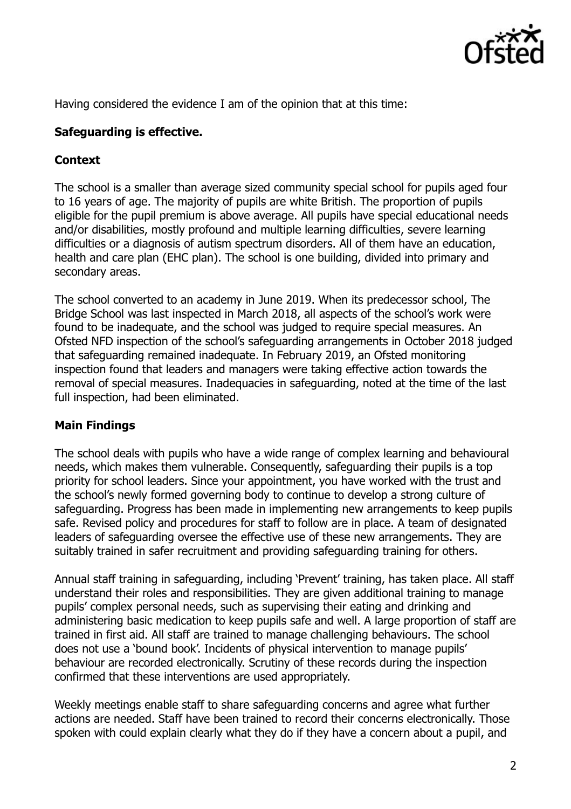

Having considered the evidence I am of the opinion that at this time:

#### **Safeguarding is effective.**

## **Context**

The school is a smaller than average sized community special school for pupils aged four to 16 years of age. The majority of pupils are white British. The proportion of pupils eligible for the pupil premium is above average. All pupils have special educational needs and/or disabilities, mostly profound and multiple learning difficulties, severe learning difficulties or a diagnosis of autism spectrum disorders. All of them have an education, health and care plan (EHC plan). The school is one building, divided into primary and secondary areas.

The school converted to an academy in June 2019. When its predecessor school, The Bridge School was last inspected in March 2018, all aspects of the school's work were found to be inadequate, and the school was judged to require special measures. An Ofsted NFD inspection of the school's safeguarding arrangements in October 2018 judged that safeguarding remained inadequate. In February 2019, an Ofsted monitoring inspection found that leaders and managers were taking effective action towards the removal of special measures. Inadequacies in safeguarding, noted at the time of the last full inspection, had been eliminated.

# **Main Findings**

The school deals with pupils who have a wide range of complex learning and behavioural needs, which makes them vulnerable. Consequently, safeguarding their pupils is a top priority for school leaders. Since your appointment, you have worked with the trust and the school's newly formed governing body to continue to develop a strong culture of safeguarding. Progress has been made in implementing new arrangements to keep pupils safe. Revised policy and procedures for staff to follow are in place. A team of designated leaders of safeguarding oversee the effective use of these new arrangements. They are suitably trained in safer recruitment and providing safeguarding training for others.

Annual staff training in safeguarding, including 'Prevent' training, has taken place. All staff understand their roles and responsibilities. They are given additional training to manage pupils' complex personal needs, such as supervising their eating and drinking and administering basic medication to keep pupils safe and well. A large proportion of staff are trained in first aid. All staff are trained to manage challenging behaviours. The school does not use a 'bound book'. Incidents of physical intervention to manage pupils' behaviour are recorded electronically. Scrutiny of these records during the inspection confirmed that these interventions are used appropriately.

Weekly meetings enable staff to share safeguarding concerns and agree what further actions are needed. Staff have been trained to record their concerns electronically. Those spoken with could explain clearly what they do if they have a concern about a pupil, and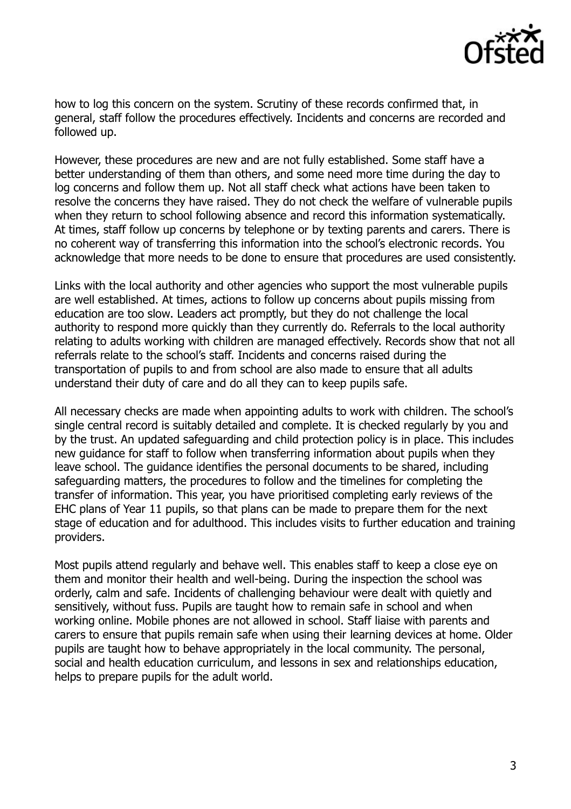

how to log this concern on the system. Scrutiny of these records confirmed that, in general, staff follow the procedures effectively. Incidents and concerns are recorded and followed up.

However, these procedures are new and are not fully established. Some staff have a better understanding of them than others, and some need more time during the day to log concerns and follow them up. Not all staff check what actions have been taken to resolve the concerns they have raised. They do not check the welfare of vulnerable pupils when they return to school following absence and record this information systematically. At times, staff follow up concerns by telephone or by texting parents and carers. There is no coherent way of transferring this information into the school's electronic records. You acknowledge that more needs to be done to ensure that procedures are used consistently.

Links with the local authority and other agencies who support the most vulnerable pupils are well established. At times, actions to follow up concerns about pupils missing from education are too slow. Leaders act promptly, but they do not challenge the local authority to respond more quickly than they currently do. Referrals to the local authority relating to adults working with children are managed effectively. Records show that not all referrals relate to the school's staff. Incidents and concerns raised during the transportation of pupils to and from school are also made to ensure that all adults understand their duty of care and do all they can to keep pupils safe.

All necessary checks are made when appointing adults to work with children. The school's single central record is suitably detailed and complete. It is checked regularly by you and by the trust. An updated safeguarding and child protection policy is in place. This includes new guidance for staff to follow when transferring information about pupils when they leave school. The guidance identifies the personal documents to be shared, including safeguarding matters, the procedures to follow and the timelines for completing the transfer of information. This year, you have prioritised completing early reviews of the EHC plans of Year 11 pupils, so that plans can be made to prepare them for the next stage of education and for adulthood. This includes visits to further education and training providers.

Most pupils attend regularly and behave well. This enables staff to keep a close eye on them and monitor their health and well-being. During the inspection the school was orderly, calm and safe. Incidents of challenging behaviour were dealt with quietly and sensitively, without fuss. Pupils are taught how to remain safe in school and when working online. Mobile phones are not allowed in school. Staff liaise with parents and carers to ensure that pupils remain safe when using their learning devices at home. Older pupils are taught how to behave appropriately in the local community. The personal, social and health education curriculum, and lessons in sex and relationships education, helps to prepare pupils for the adult world.